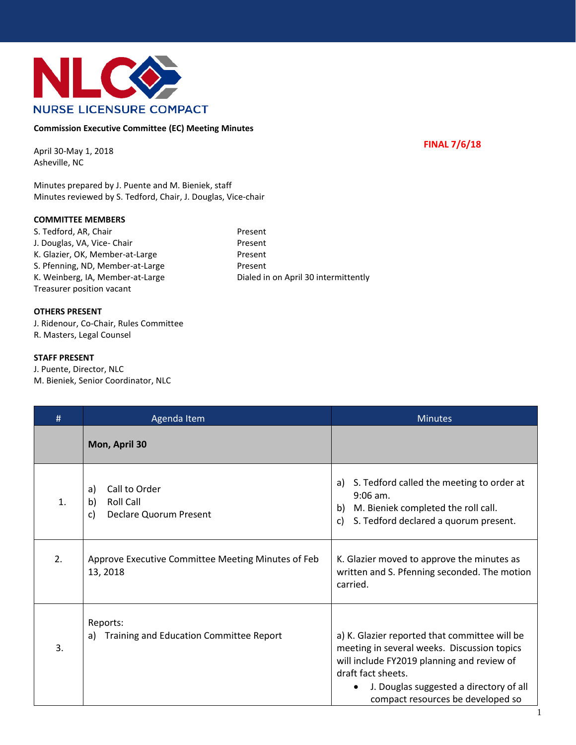

## **Commission Executive Committee (EC) Meeting Minutes**

**FINAL 7/6/18** 

April 30-May 1, 2018 Asheville, NC

Minutes prepared by J. Puente and M. Bieniek, staff Minutes reviewed by S. Tedford, Chair, J. Douglas, Vice-chair

## **COMMITTEE MEMBERS**

| S. Tedford, AR, Chair            | Present                              |
|----------------------------------|--------------------------------------|
| J. Douglas, VA, Vice- Chair      | Present                              |
| K. Glazier, OK, Member-at-Large  | Present                              |
| S. Pfenning, ND, Member-at-Large | Present                              |
| K. Weinberg, IA, Member-at-Large | Dialed in on April 30 intermittently |
| Treasurer position vacant        |                                      |

## **OTHERS PRESENT**

J. Ridenour, Co-Chair, Rules Committee R. Masters, Legal Counsel

## **STAFF PRESENT**

J. Puente, Director, NLC M. Bieniek, Senior Coordinator, NLC

| #                | Agenda Item                                                                   | <b>Minutes</b>                                                                                                                                                                                                                                   |
|------------------|-------------------------------------------------------------------------------|--------------------------------------------------------------------------------------------------------------------------------------------------------------------------------------------------------------------------------------------------|
|                  | Mon, April 30                                                                 |                                                                                                                                                                                                                                                  |
| $\mathbf{1}$ .   | Call to Order<br>a)<br>Roll Call<br>b)<br><b>Declare Quorum Present</b><br>C) | S. Tedford called the meeting to order at<br>a)<br>$9:06$ am.<br>b) M. Bieniek completed the roll call.<br>S. Tedford declared a quorum present.<br>c)                                                                                           |
| 2.               | Approve Executive Committee Meeting Minutes of Feb<br>13, 2018                | K. Glazier moved to approve the minutes as<br>written and S. Pfenning seconded. The motion<br>carried.                                                                                                                                           |
| $\overline{3}$ . | Reports:<br>a) Training and Education Committee Report                        | a) K. Glazier reported that committee will be<br>meeting in several weeks. Discussion topics<br>will include FY2019 planning and review of<br>draft fact sheets.<br>J. Douglas suggested a directory of all<br>compact resources be developed so |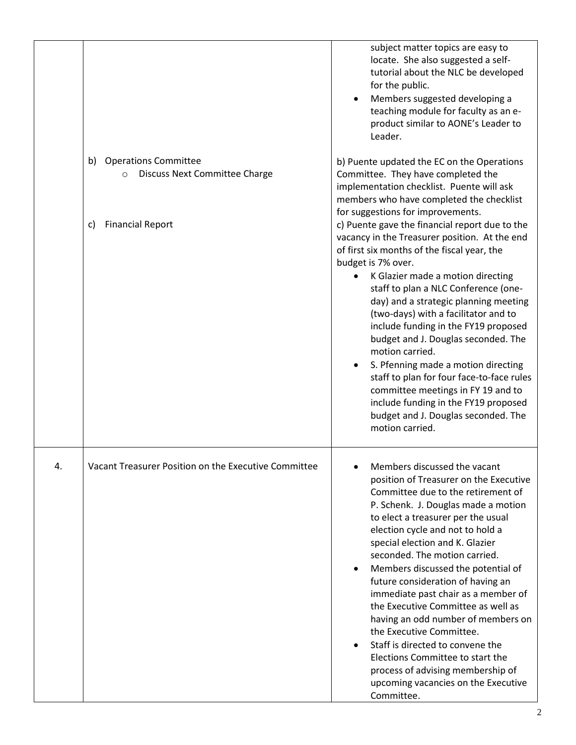|    |                                                                                      | subject matter topics are easy to<br>locate. She also suggested a self-<br>tutorial about the NLC be developed<br>for the public.<br>Members suggested developing a<br>teaching module for faculty as an e-<br>product similar to AONE's Leader to<br>Leader.                                                                                                                                                                                                                                                                                                                                                                                                                                         |
|----|--------------------------------------------------------------------------------------|-------------------------------------------------------------------------------------------------------------------------------------------------------------------------------------------------------------------------------------------------------------------------------------------------------------------------------------------------------------------------------------------------------------------------------------------------------------------------------------------------------------------------------------------------------------------------------------------------------------------------------------------------------------------------------------------------------|
|    | <b>Operations Committee</b><br>b)<br><b>Discuss Next Committee Charge</b><br>$\circ$ | b) Puente updated the EC on the Operations<br>Committee. They have completed the<br>implementation checklist. Puente will ask<br>members who have completed the checklist                                                                                                                                                                                                                                                                                                                                                                                                                                                                                                                             |
|    | <b>Financial Report</b><br>C)                                                        | for suggestions for improvements.<br>c) Puente gave the financial report due to the<br>vacancy in the Treasurer position. At the end<br>of first six months of the fiscal year, the<br>budget is 7% over.<br>K Glazier made a motion directing<br>staff to plan a NLC Conference (one-<br>day) and a strategic planning meeting<br>(two-days) with a facilitator and to<br>include funding in the FY19 proposed<br>budget and J. Douglas seconded. The<br>motion carried.<br>S. Pfenning made a motion directing<br>staff to plan for four face-to-face rules<br>committee meetings in FY 19 and to<br>include funding in the FY19 proposed<br>budget and J. Douglas seconded. The<br>motion carried. |
| 4. | Vacant Treasurer Position on the Executive Committee                                 | Members discussed the vacant<br>position of Treasurer on the Executive<br>Committee due to the retirement of<br>P. Schenk. J. Douglas made a motion<br>to elect a treasurer per the usual<br>election cycle and not to hold a<br>special election and K. Glazier<br>seconded. The motion carried.<br>Members discussed the potential of<br>future consideration of having an<br>immediate past chair as a member of<br>the Executive Committee as well as<br>having an odd number of members on<br>the Executive Committee.<br>Staff is directed to convene the<br>Elections Committee to start the<br>process of advising membership of<br>upcoming vacancies on the Executive<br>Committee.         |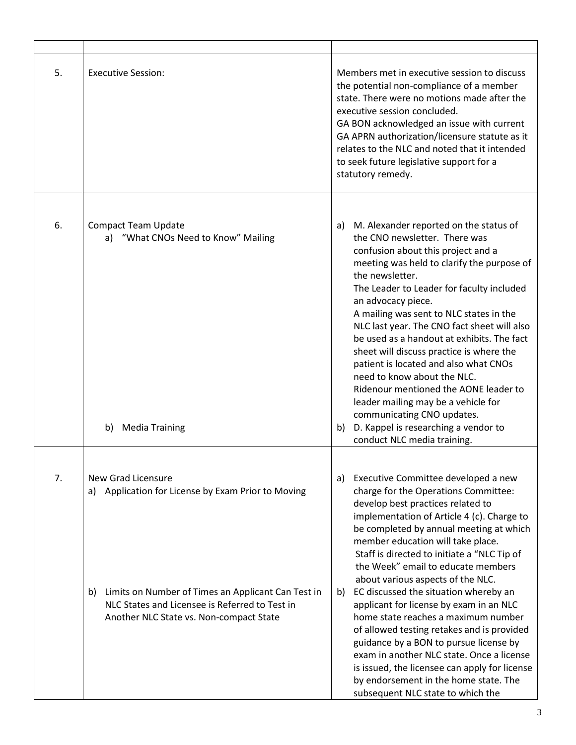| 5. | <b>Executive Session:</b>                                                                                                                                                                                                      | Members met in executive session to discuss<br>the potential non-compliance of a member<br>state. There were no motions made after the<br>executive session concluded.<br>GA BON acknowledged an issue with current<br>GA APRN authorization/licensure statute as it<br>relates to the NLC and noted that it intended<br>to seek future legislative support for a<br>statutory remedy.                                                                                                                                                                                                                                                                                                                                                                                              |
|----|--------------------------------------------------------------------------------------------------------------------------------------------------------------------------------------------------------------------------------|-------------------------------------------------------------------------------------------------------------------------------------------------------------------------------------------------------------------------------------------------------------------------------------------------------------------------------------------------------------------------------------------------------------------------------------------------------------------------------------------------------------------------------------------------------------------------------------------------------------------------------------------------------------------------------------------------------------------------------------------------------------------------------------|
| 6. | <b>Compact Team Update</b><br>a) "What CNOs Need to Know" Mailing<br>b) Media Training                                                                                                                                         | M. Alexander reported on the status of<br>a)<br>the CNO newsletter. There was<br>confusion about this project and a<br>meeting was held to clarify the purpose of<br>the newsletter.<br>The Leader to Leader for faculty included<br>an advocacy piece.<br>A mailing was sent to NLC states in the<br>NLC last year. The CNO fact sheet will also<br>be used as a handout at exhibits. The fact<br>sheet will discuss practice is where the<br>patient is located and also what CNOs<br>need to know about the NLC.<br>Ridenour mentioned the AONE leader to<br>leader mailing may be a vehicle for<br>communicating CNO updates.<br>D. Kappel is researching a vendor to<br>b)<br>conduct NLC media training.                                                                      |
| 7. | New Grad Licensure<br>a) Application for License by Exam Prior to Moving<br>b) Limits on Number of Times an Applicant Can Test in<br>NLC States and Licensee is Referred to Test in<br>Another NLC State vs. Non-compact State | Executive Committee developed a new<br>a)<br>charge for the Operations Committee:<br>develop best practices related to<br>implementation of Article 4 (c). Charge to<br>be completed by annual meeting at which<br>member education will take place.<br>Staff is directed to initiate a "NLC Tip of<br>the Week" email to educate members<br>about various aspects of the NLC.<br>EC discussed the situation whereby an<br>b)<br>applicant for license by exam in an NLC<br>home state reaches a maximum number<br>of allowed testing retakes and is provided<br>guidance by a BON to pursue license by<br>exam in another NLC state. Once a license<br>is issued, the licensee can apply for license<br>by endorsement in the home state. The<br>subsequent NLC state to which the |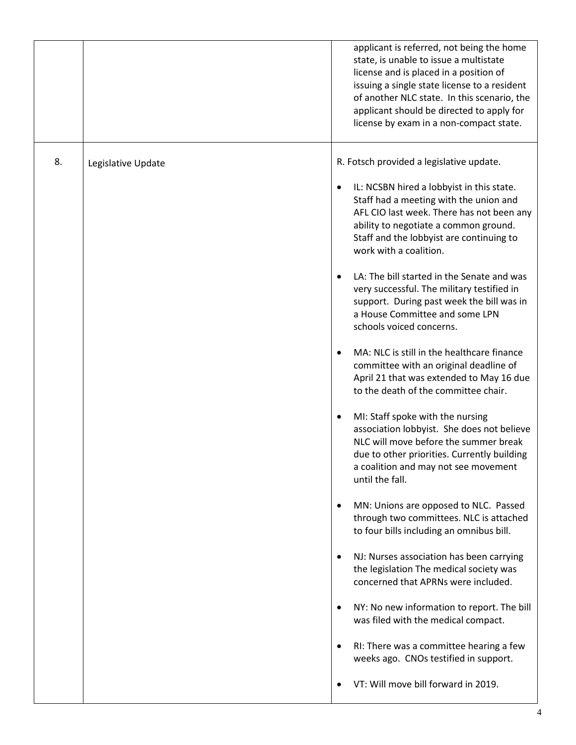|    |                    | applicant is referred, not being the home<br>state, is unable to issue a multistate<br>license and is placed in a position of<br>issuing a single state license to a resident<br>of another NLC state. In this scenario, the<br>applicant should be directed to apply for<br>license by exam in a non-compact state. |
|----|--------------------|----------------------------------------------------------------------------------------------------------------------------------------------------------------------------------------------------------------------------------------------------------------------------------------------------------------------|
| 8. | Legislative Update | R. Fotsch provided a legislative update.                                                                                                                                                                                                                                                                             |
|    |                    | IL: NCSBN hired a lobbyist in this state.<br>٠<br>Staff had a meeting with the union and<br>AFL CIO last week. There has not been any<br>ability to negotiate a common ground.<br>Staff and the lobbyist are continuing to<br>work with a coalition.                                                                 |
|    |                    | LA: The bill started in the Senate and was<br>very successful. The military testified in<br>support. During past week the bill was in<br>a House Committee and some LPN<br>schools voiced concerns.                                                                                                                  |
|    |                    | MA: NLC is still in the healthcare finance<br>$\bullet$<br>committee with an original deadline of<br>April 21 that was extended to May 16 due<br>to the death of the committee chair.                                                                                                                                |
|    |                    | MI: Staff spoke with the nursing<br>٠<br>association lobbyist. She does not believe<br>NLC will move before the summer break<br>due to other priorities. Currently building<br>a coalition and may not see movement<br>until the fall.                                                                               |
|    |                    | MN: Unions are opposed to NLC. Passed<br>$\bullet$<br>through two committees. NLC is attached<br>to four bills including an omnibus bill.                                                                                                                                                                            |
|    |                    | NJ: Nurses association has been carrying<br>$\bullet$<br>the legislation The medical society was<br>concerned that APRNs were included.                                                                                                                                                                              |
|    |                    | NY: No new information to report. The bill<br>$\bullet$<br>was filed with the medical compact.                                                                                                                                                                                                                       |
|    |                    | RI: There was a committee hearing a few<br>$\bullet$<br>weeks ago. CNOs testified in support.                                                                                                                                                                                                                        |
|    |                    | VT: Will move bill forward in 2019.                                                                                                                                                                                                                                                                                  |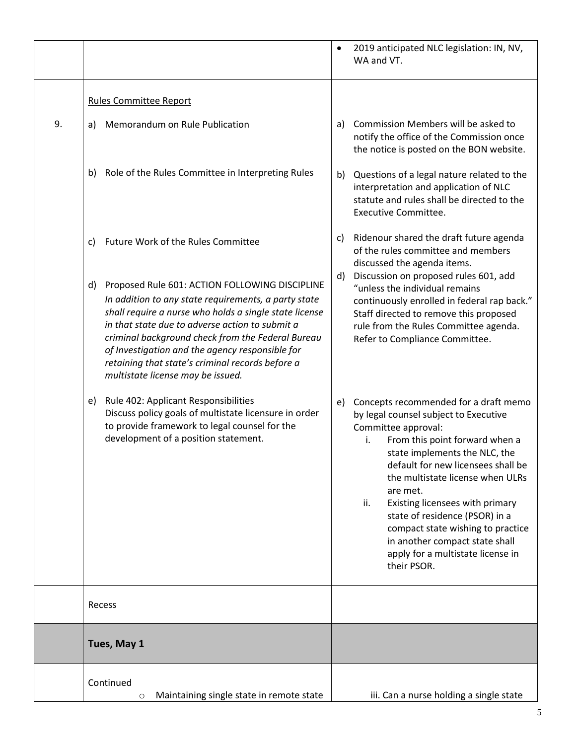|    |                                                                                                                                                                                                                                                                                                                                                                                                                            | $\bullet$ | 2019 anticipated NLC legislation: IN, NV,<br>WA and VT.                                                                                                                                                                                                                                                                                                                                                                                                                     |
|----|----------------------------------------------------------------------------------------------------------------------------------------------------------------------------------------------------------------------------------------------------------------------------------------------------------------------------------------------------------------------------------------------------------------------------|-----------|-----------------------------------------------------------------------------------------------------------------------------------------------------------------------------------------------------------------------------------------------------------------------------------------------------------------------------------------------------------------------------------------------------------------------------------------------------------------------------|
|    | <b>Rules Committee Report</b>                                                                                                                                                                                                                                                                                                                                                                                              |           |                                                                                                                                                                                                                                                                                                                                                                                                                                                                             |
| 9. | Memorandum on Rule Publication<br>a)                                                                                                                                                                                                                                                                                                                                                                                       | a)        | Commission Members will be asked to<br>notify the office of the Commission once<br>the notice is posted on the BON website.                                                                                                                                                                                                                                                                                                                                                 |
|    | Role of the Rules Committee in Interpreting Rules<br>b)                                                                                                                                                                                                                                                                                                                                                                    | b)        | Questions of a legal nature related to the<br>interpretation and application of NLC<br>statute and rules shall be directed to the<br><b>Executive Committee.</b>                                                                                                                                                                                                                                                                                                            |
|    | Future Work of the Rules Committee<br>C)                                                                                                                                                                                                                                                                                                                                                                                   | C)        | Ridenour shared the draft future agenda<br>of the rules committee and members<br>discussed the agenda items.                                                                                                                                                                                                                                                                                                                                                                |
|    | Proposed Rule 601: ACTION FOLLOWING DISCIPLINE<br>d)<br>In addition to any state requirements, a party state<br>shall require a nurse who holds a single state license<br>in that state due to adverse action to submit a<br>criminal background check from the Federal Bureau<br>of Investigation and the agency responsible for<br>retaining that state's criminal records before a<br>multistate license may be issued. | d)        | Discussion on proposed rules 601, add<br>"unless the individual remains<br>continuously enrolled in federal rap back."<br>Staff directed to remove this proposed<br>rule from the Rules Committee agenda.<br>Refer to Compliance Committee.                                                                                                                                                                                                                                 |
|    | Rule 402: Applicant Responsibilities<br>e)<br>Discuss policy goals of multistate licensure in order<br>to provide framework to legal counsel for the<br>development of a position statement.                                                                                                                                                                                                                               | e)        | Concepts recommended for a draft memo<br>by legal counsel subject to Executive<br>Committee approval:<br>From this point forward when a<br>i.<br>state implements the NLC, the<br>default for new licensees shall be<br>the multistate license when ULRs<br>are met.<br>ii.<br>Existing licensees with primary<br>state of residence (PSOR) in a<br>compact state wishing to practice<br>in another compact state shall<br>apply for a multistate license in<br>their PSOR. |
|    | Recess                                                                                                                                                                                                                                                                                                                                                                                                                     |           |                                                                                                                                                                                                                                                                                                                                                                                                                                                                             |
|    | Tues, May 1                                                                                                                                                                                                                                                                                                                                                                                                                |           |                                                                                                                                                                                                                                                                                                                                                                                                                                                                             |
|    | Continued<br>Maintaining single state in remote state<br>O                                                                                                                                                                                                                                                                                                                                                                 |           | iii. Can a nurse holding a single state                                                                                                                                                                                                                                                                                                                                                                                                                                     |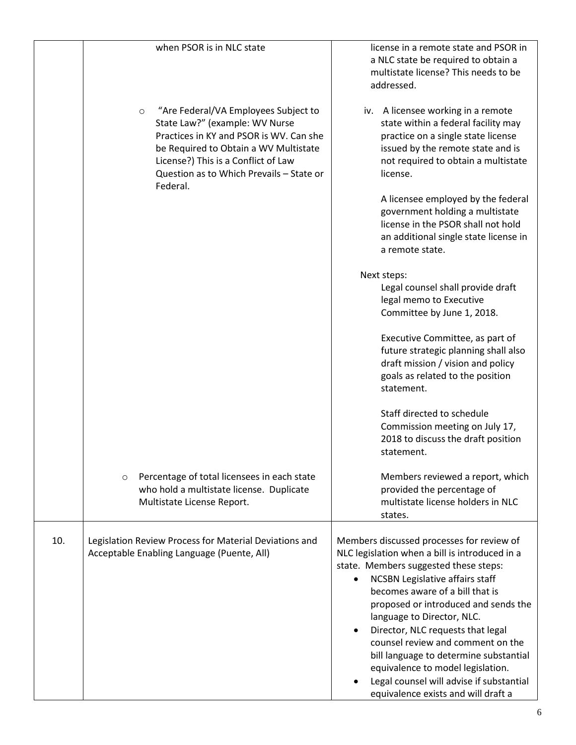|     | when PSOR is in NLC state                                                                                                                                                                                                                                            | license in a remote state and PSOR in<br>a NLC state be required to obtain a<br>multistate license? This needs to be<br>addressed.                                                                                                                                                                                                                                                                                                                                                                                                  |
|-----|----------------------------------------------------------------------------------------------------------------------------------------------------------------------------------------------------------------------------------------------------------------------|-------------------------------------------------------------------------------------------------------------------------------------------------------------------------------------------------------------------------------------------------------------------------------------------------------------------------------------------------------------------------------------------------------------------------------------------------------------------------------------------------------------------------------------|
|     | "Are Federal/VA Employees Subject to<br>$\circ$<br>State Law?" (example: WV Nurse<br>Practices in KY and PSOR is WV. Can she<br>be Required to Obtain a WV Multistate<br>License?) This is a Conflict of Law<br>Question as to Which Prevails - State or<br>Federal. | iv. A licensee working in a remote<br>state within a federal facility may<br>practice on a single state license<br>issued by the remote state and is<br>not required to obtain a multistate<br>license.                                                                                                                                                                                                                                                                                                                             |
|     |                                                                                                                                                                                                                                                                      | A licensee employed by the federal<br>government holding a multistate<br>license in the PSOR shall not hold<br>an additional single state license in<br>a remote state.                                                                                                                                                                                                                                                                                                                                                             |
|     |                                                                                                                                                                                                                                                                      | Next steps:<br>Legal counsel shall provide draft<br>legal memo to Executive<br>Committee by June 1, 2018.                                                                                                                                                                                                                                                                                                                                                                                                                           |
|     |                                                                                                                                                                                                                                                                      | Executive Committee, as part of<br>future strategic planning shall also<br>draft mission / vision and policy<br>goals as related to the position<br>statement.                                                                                                                                                                                                                                                                                                                                                                      |
|     |                                                                                                                                                                                                                                                                      | Staff directed to schedule<br>Commission meeting on July 17,<br>2018 to discuss the draft position<br>statement.                                                                                                                                                                                                                                                                                                                                                                                                                    |
|     | Percentage of total licensees in each state<br>$\circ$<br>who hold a multistate license. Duplicate<br>Multistate License Report.                                                                                                                                     | Members reviewed a report, which<br>provided the percentage of<br>multistate license holders in NLC<br>states.                                                                                                                                                                                                                                                                                                                                                                                                                      |
| 10. | Legislation Review Process for Material Deviations and<br>Acceptable Enabling Language (Puente, All)                                                                                                                                                                 | Members discussed processes for review of<br>NLC legislation when a bill is introduced in a<br>state. Members suggested these steps:<br><b>NCSBN Legislative affairs staff</b><br>becomes aware of a bill that is<br>proposed or introduced and sends the<br>language to Director, NLC.<br>Director, NLC requests that legal<br>counsel review and comment on the<br>bill language to determine substantial<br>equivalence to model legislation.<br>Legal counsel will advise if substantial<br>equivalence exists and will draft a |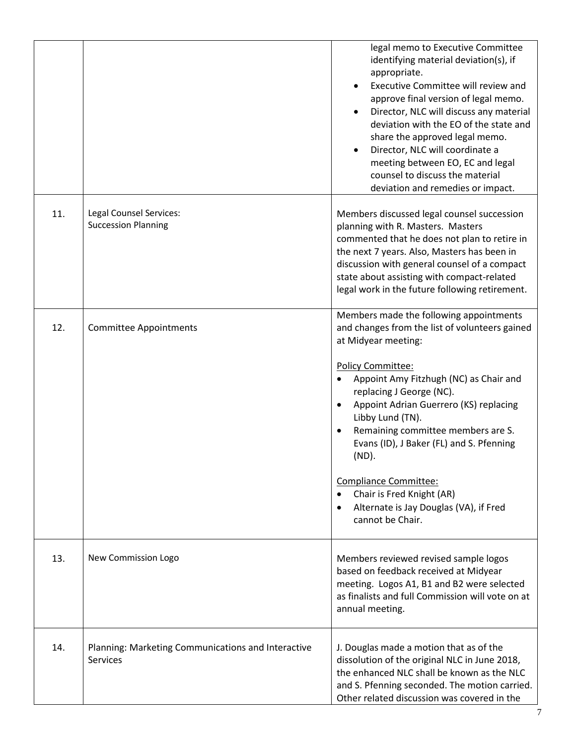|     |                                                                | legal memo to Executive Committee<br>identifying material deviation(s), if<br>appropriate.<br>Executive Committee will review and<br>approve final version of legal memo.<br>Director, NLC will discuss any material<br>deviation with the EO of the state and<br>share the approved legal memo.<br>Director, NLC will coordinate a<br>meeting between EO, EC and legal<br>counsel to discuss the material<br>deviation and remedies or impact.                                                       |
|-----|----------------------------------------------------------------|-------------------------------------------------------------------------------------------------------------------------------------------------------------------------------------------------------------------------------------------------------------------------------------------------------------------------------------------------------------------------------------------------------------------------------------------------------------------------------------------------------|
| 11. | Legal Counsel Services:<br><b>Succession Planning</b>          | Members discussed legal counsel succession<br>planning with R. Masters. Masters<br>commented that he does not plan to retire in<br>the next 7 years. Also, Masters has been in<br>discussion with general counsel of a compact<br>state about assisting with compact-related<br>legal work in the future following retirement.                                                                                                                                                                        |
| 12. | <b>Committee Appointments</b>                                  | Members made the following appointments<br>and changes from the list of volunteers gained<br>at Midyear meeting:<br>Policy Committee:<br>Appoint Amy Fitzhugh (NC) as Chair and<br>replacing J George (NC).<br>Appoint Adrian Guerrero (KS) replacing<br>Libby Lund (TN).<br>Remaining committee members are S.<br>$\bullet$<br>Evans (ID), J Baker (FL) and S. Pfenning<br>(ND).<br>Compliance Committee:<br>Chair is Fred Knight (AR)<br>Alternate is Jay Douglas (VA), if Fred<br>cannot be Chair. |
| 13. | New Commission Logo                                            | Members reviewed revised sample logos<br>based on feedback received at Midyear<br>meeting. Logos A1, B1 and B2 were selected<br>as finalists and full Commission will vote on at<br>annual meeting.                                                                                                                                                                                                                                                                                                   |
| 14. | Planning: Marketing Communications and Interactive<br>Services | J. Douglas made a motion that as of the<br>dissolution of the original NLC in June 2018,<br>the enhanced NLC shall be known as the NLC<br>and S. Pfenning seconded. The motion carried.<br>Other related discussion was covered in the                                                                                                                                                                                                                                                                |